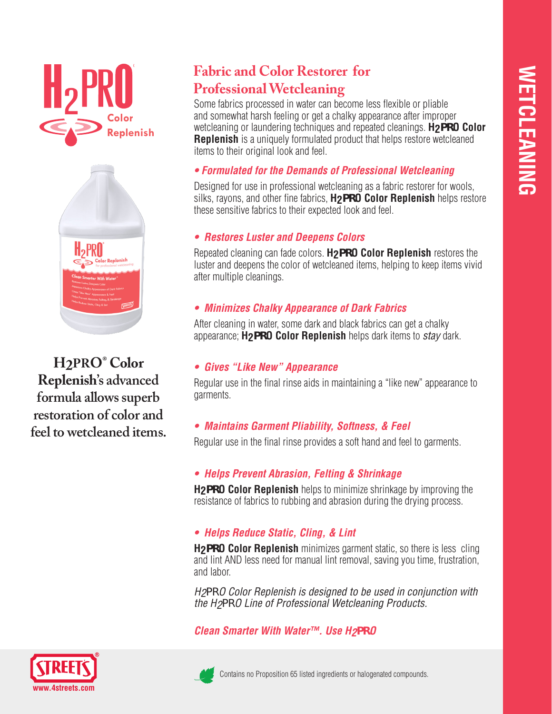



**H2PRO® Color Replenish's advanced formula allows superb restoration of color and feel to wetcleaned items.**

# **Fabric and Color Restorer for Professional Wetcleaning**

Some fabrics processed in water can become less flexible or pliable and somewhat harsh feeling or get a chalky appearance after improper wetcleaning or laundering techniques and repeated cleanings. **H2PRO Color Replenish** is a uniquely formulated product that helps restore wetcleaned items to their original look and feel.

#### *• Formulated for the Demands of Professional Wetcleaning*

Designed for use in professional wetcleaning as a fabric restorer for wools, silks, rayons, and other fine fabrics, **H2PRO Color Replenish** helps restore these sensitive fabrics to their expected look and feel.

#### *• Restores Luster and Deepens Colors*

Repeated cleaning can fade colors. **H2PRO Color Replenish** restores the luster and deepens the color of wetcleaned items, helping to keep items vivid after multiple cleanings.

#### *• Minimizes Chalky Appearance of Dark Fabrics*

After cleaning in water, some dark and black fabrics can get a chalky appearance; **H2PRO Color Replenish** helps dark items to *stay* dark.

#### *• Gives "Like New" Appearance*

Regular use in the final rinse aids in maintaining a "like new" appearance to garments.

## *• Maintains Garment Pliability, Softness, & Feel*

Regular use in the final rinse provides a soft hand and feel to garments.

## *• Helps Prevent Abrasion, Felting & Shrinkage*

**H2PRO Color Replenish** helps to minimize shrinkage by improving the resistance of fabrics to rubbing and abrasion during the drying process.

## *• Helps Reduce Static, Cling, & Lint*

**H2PRO Color Replenish** minimizes garment static, so there is less cling and lint AND less need for manual lint removal, saving you time, frustration, and labor.

*H2PRO Color Replenish is designed to be used in conjunction with the H2PRO Line of Professional Wetcleaning Products.*

*Clean Smarter With Water™. Use H2PRO*





Contains no Proposition 65 listed ingredients or halogenated compounds.